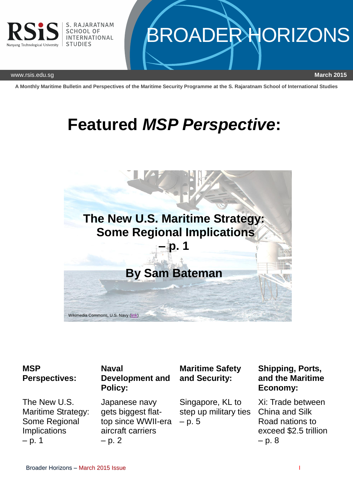

# **BROADER HORIZONS**

www.rsis.edu.sg **March 2015**

**A Monthly Maritime Bulletin and Perspectives of the Maritime Security Programme at the S. Rajaratnam School of International Studies**

## **Featured** *MSP Perspective***:**



#### **MSP Perspectives:**

The New U.S. Maritime Strategy: Some Regional Implications  $- p. 1$ 

#### **Naval Development and Policy:**

Japanese navy gets biggest flattop since WWII-era aircraft carriers  $- p. 2$ 

### **Maritime Safety and Security:**

Singapore, KL to step up military ties – p. 5

#### **Shipping, Ports, and the Maritime Economy:**

Xi: Trade between China and Silk Road nations to exceed \$2.5 trillion  $- p. 8$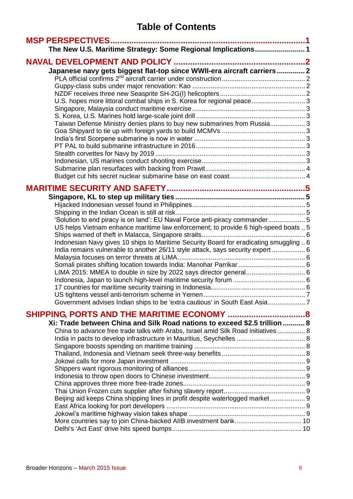## **Table of Contents**

| <b>MSP PERSPECTIVES</b><br>The New U.S. Maritime Strategy: Some Regional Implications 1 |  |
|-----------------------------------------------------------------------------------------|--|
|                                                                                         |  |
| Japanese navy gets biggest flat-top since WWII-era aircraft carriers 2                  |  |
|                                                                                         |  |
|                                                                                         |  |
| U.S. hopes more littoral combat ships in S. Korea for regional peace3                   |  |
|                                                                                         |  |
|                                                                                         |  |
| Taiwan Defense Ministry denies plans to buy new submarines from Russia 3                |  |
|                                                                                         |  |
|                                                                                         |  |
|                                                                                         |  |
|                                                                                         |  |
|                                                                                         |  |
|                                                                                         |  |
|                                                                                         |  |
|                                                                                         |  |
|                                                                                         |  |
|                                                                                         |  |
| 'Solution to end piracy is on land': EU Naval Force anti-piracy commander 5             |  |
| US helps Vietnam enhance maritime law enforcement; to provide 6 high-speed boats  5     |  |
|                                                                                         |  |
| Indonesian Navy gives 10 ships to Maritime Security Board for eradicating smuggling  6  |  |
| India remains vulnerable to another 26/11 style attack, says security expert  6         |  |
|                                                                                         |  |
|                                                                                         |  |
| LIMA 2015: MMEA to double in size by 2022 says director general 6                       |  |
|                                                                                         |  |
|                                                                                         |  |
| Government advises Indian ships to be 'extra cautious' in South East Asia 7             |  |
|                                                                                         |  |
| Xi: Trade between China and Silk Road nations to exceed \$2.5 trillion  8               |  |
| China to advance free trade talks with Arabs, Israel amid Silk Road initiatives  8      |  |
|                                                                                         |  |
|                                                                                         |  |
|                                                                                         |  |
|                                                                                         |  |
|                                                                                         |  |
|                                                                                         |  |
|                                                                                         |  |
|                                                                                         |  |
| Beijing aid keeps China shipping lines in profit despite waterlogged market 9           |  |
|                                                                                         |  |
|                                                                                         |  |
|                                                                                         |  |
|                                                                                         |  |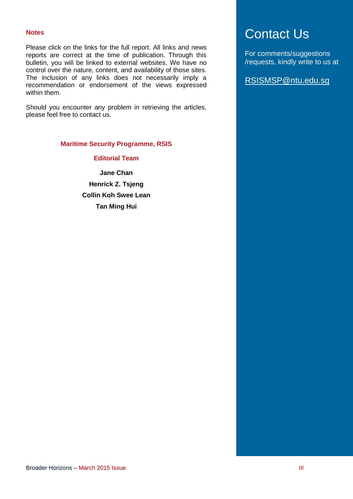#### **Notes**

Please click on the links for the full report. All links and news reports are correct at the time of publication. Through this bulletin, you will be linked to external websites. We have no control over the nature, content, and availability of those sites. The inclusion of any links does not necessarily imply a recommendation or endorsement of the views expressed within them.

Should you encounter any problem in retrieving the articles, please feel free to contact us.

#### **Maritime Security Programme, RSIS**

**Editorial Team**

**Jane Chan Henrick Z. Tsjeng Collin Koh Swee Lean Tan Ming Hui**

## Contact Us

For comments/suggestions /requests, kindly write to us at

RSISMSP@ntu.edu.sg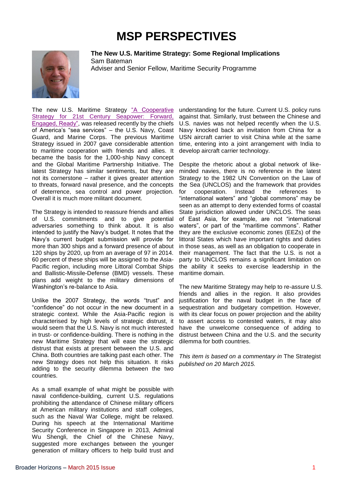## **MSP PERSPECTIVES**

<span id="page-3-1"></span><span id="page-3-0"></span>

**The New U.S. Maritime Strategy: Some Regional Implications** Sam Bateman Adviser and Senior Fellow, Maritime Security Programme

The new U.S. Maritime Strategy "A Cooperative Strategy for 21st Century Seapower: Forward, [Engaged, Ready",](http://www.navy.mil/local/maritime/150227-CS21R-Final.pdf) was released recently by the chiefs of America's "sea services" – the U.S. Navy, Coast Guard, and Marine Corps. The previous Maritime Strategy issued in 2007 gave considerable attention to maritime cooperation with friends and allies. It became the basis for the 1,000-ship Navy concept and the Global Maritime Partnership Initiative. The latest Strategy has similar sentiments, but they are not its cornerstone – rather it gives greater attention to threats, forward naval presence, and the concepts of deterrence, sea control and power projection. Overall it is much more militant document.

The Strategy is intended to reassure friends and allies of U.S. commitments and to give potential adversaries something to think about. It is also intended to justify the Navy's budget. It notes that the Navy's current budget submission will provide for more than 300 ships and a forward presence of about 120 ships by 2020, up from an average of 97 in 2014. 60 percent of these ships will be assigned to the Asia-Pacific region, including more Littoral Combat Ships and Ballistic-Missile-Defense (BMD) vessels. These plans add weight to the military dimensions of Washington's re-balance to Asia.

Unlike the 2007 Strategy, the words "trust" and "confidence" do not occur in the new document in a strategic context. While the Asia-Pacific region is characterised by high levels of strategic distrust, it would seem that the U.S. Navy is not much interested in trust- or confidence-building. There is nothing in the new Maritime Strategy that will ease the strategic distrust that exists at present between the U.S. and China. Both countries are talking past each other. The new Strategy does not help this situation. It risks adding to the security dilemma between the two countries.

As a small example of what might be possible with naval confidence-building, current U.S. regulations prohibiting the attendance of Chinese military officers at American military institutions and staff colleges, such as the Naval War College, might be relaxed. During his speech at the International Maritime Security Conference in Singapore in 2013, Admiral Wu Shengli, the Chief of the Chinese Navy, suggested more exchanges between the younger generation of military officers to help build trust and

understanding for the future. Current U.S. policy runs against that. Similarly, trust between the Chinese and U.S. navies was not helped recently when the U.S. Navy knocked back an invitation from China for a USN aircraft carrier to visit China while at the same time, entering into a joint arrangement with India to develop aircraft carrier technology.

Despite the rhetoric about a global network of likeminded navies, there is no reference in the latest Strategy to the 1982 UN Convention on the Law of the Sea (UNCLOS) and the framework that provides for cooperation. Instead the references to "international waters" and "global commons" may be seen as an attempt to deny extended forms of coastal State jurisdiction allowed under UNCLOS. The seas of East Asia, for example, are not "international waters", or part of the "maritime commons". Rather they are the exclusive economic zones (EEZs) of the littoral States which have important rights and duties in those seas, as well as an obligation to cooperate in their management. The fact that the U.S. is not a party to UNCLOS remains a significant limitation on the ability it seeks to exercise leadership in the maritime domain.

The new Maritime Strategy may help to re-assure U.S. friends and allies in the region. It also provides justification for the naval budget in the face of sequestration and budgetary competition. However, with its clear focus on power projection and the ability to assert access to contested waters, it may also have the unwelcome consequence of adding to distrust between China and the U.S. and the security dilemma for both countries.

*This item is based on a commentary in* The Strategist *published on 20 March 2015.*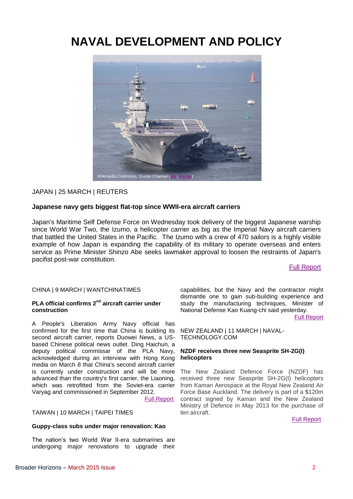## <span id="page-4-0"></span>**NAVAL DEVELOPMENT AND POLICY**



#### JAPAN | 25 MARCH | REUTERS

#### <span id="page-4-1"></span>**Japanese navy gets biggest flat-top since WWII-era aircraft carriers**

Japan's Maritime Self Defense Force on Wednesday took delivery of the biggest Japanese warship since World War Two, the Izumo, a helicopter carrier as big as the Imperial Navy aircraft carriers that battled the United States in the Pacific. The Izumo with a crew of 470 sailors is a highly visible example of how Japan is expanding the capability of its military to operate overseas and enters service as Prime Minister Shinzo Abe seeks lawmaker approval to loosen the restraints of Japan's pacifist post-war constitution.

[Full Report](http://www.reuters.com/article/2015/03/25/japan-carrier-navy-idUSL3N0WR17R20150325)

#### CHINA | 9 MARCH | WANTCHINATIMES

#### <span id="page-4-2"></span>**PLA official confirms 2nd aircraft carrier under construction**

A People's Liberation Army Navy official has confirmed for the first time that China is building its second aircraft carrier, reports Duowei News, a USbased Chinese political news outlet. Ding Haichun, a deputy political commissar of the PLA Navy, acknowledged during an interview with Hong Kong media on March 8 that China's second aircraft carrier is currently under construction and will be more advanced than the country's first carrier, the Liaoning, which was retrofitted from the Soviet-era carrier Varyag and commissioned in September 2012.

[Full Report](http://www.wantchinatimes.com/news-subclass-cnt.aspx?id=20150309000138&cid=1101)

#### TAIWAN | 10 MARCH | TAIPEI TIMES

#### <span id="page-4-3"></span>**Guppy-class subs under major renovation: Kao**

The nation's two World War II-era submarines are undergoing major renovations to upgrade their

capabilities, but the Navy and the contractor might dismantle one to gain sub-building experience and study the manufacturing techniques, Minister of National Defense Kao Kuang-chi said yesterday. [Full Report](http://www.taipeitimes.com/News/taiwan/archives/2015/03/10/2003613210)

NEW ZEALAND | 11 MARCH | NAVAL-TECHNOLOGY.COM

#### <span id="page-4-4"></span>**NZDF receives three new Seasprite SH-2G(I) helicopters**

The New Zealand Defence Force (NZDF) has received three new Seasprite SH-2G(I) helicopters from Kaman Aerospace at the Royal New Zealand Air Force Base Auckland. The delivery is part of a \$120m contract signed by Kaman and the New Zealand Ministry of Defence in May 2013 for the purchase of ten aircraft.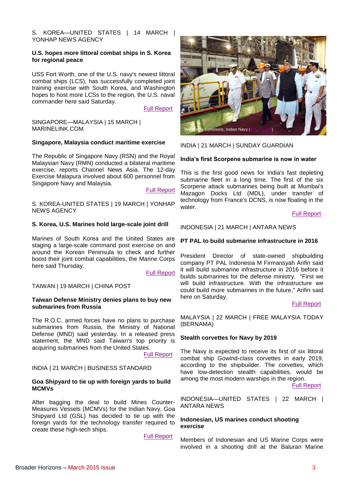S. KOREA-UNITED STATES | 14 MARCH | YONHAP NEWS AGENCY

#### <span id="page-5-0"></span>**U.S. hopes more littoral combat ships in S. Korea for regional peace**

USS Fort Worth, one of the U.S. navy's newest littoral combat ships (LCS), has successfully completed joint training exercise with South Korea, and Washington hopes to host more LCSs to the region, the U.S. naval commander here said Saturday.

[Full Report](http://english.yonhapnews.co.kr/national/2015/03/14/34/0301000000AEN20150314001800315F.html)

SINGAPORE—MALAYSIA | 15 MARCH | MARINELINK.COM

#### <span id="page-5-1"></span>**Singapore, Malaysia conduct maritime exercise**

The Republic of Singapore Navy (RSN) and the Royal Malaysian Navy (RMN) conducted a bilateral maritime exercise, reports Channel News Asia. The 12-day Exercise Malapura involved about 600 personnel from Singapore Navy and Malaysia.

[Full Report](http://www.marinelink.com/news/singapore-malaysia387651.aspx)

S. KOREA-UNITED STATES | 19 MARCH | YONHAP NEWS AGENCY

#### <span id="page-5-2"></span>**S. Korea, U.S. Marines hold large-scale joint drill**

Marines of South Korea and the United States are staging a large-scale command post exercise on and around the Korean Peninsula to check and further boost their joint combat capabilities, the Marine Corps here said Thursday.

[Full Report](http://english.yonhapnews.co.kr/national/2015/03/19/25/0301000000AEN20150319002500315F.html)

#### TAIWAN | 19 MARCH | CHINA POST

#### <span id="page-5-3"></span>**Taiwan Defense Ministry denies plans to buy new submarines from Russia**

The R.O.C. armed forces have no plans to purchase submarines from Russia, the Ministry of National Defense (MND) said yesterday. In a released press statement, the MND said Taiwan's top priority is acquiring submarines from the United States.

[Full Report](http://www.chinapost.com.tw/taiwan/national/national-news/2015/03/19/431464/Defense-Ministry.htm)

#### INDIA | 21 MARCH | BUSINESS STANDARD

#### <span id="page-5-4"></span>**Goa Shipyard to tie up with foreign yards to build MCMVs**

After bagging the deal to build Mines Counter-Measures Vessels (MCMVs) for the Indian Navy, Goa Shipyard Ltd (GSL) has decided to tie up with the foreign yards for the technology transfer required to create these high-tech ships.

[Full Report](http://www.business-standard.com/article/pti-stories/goa-shipyard-to-tie-up-with-foreign-yards-to-build-mcmvs-115032100480_1.html)



INDIA | 21 MARCH | SUNDAY GUARDIAN

#### <span id="page-5-5"></span>**India's first Scorpene submarine is now in water**

This is the first good news for India's fast depleting submarine fleet in a long time. The first of the six Scorpene attack submarines being built at Mumbai's Mazagon Docks Ltd (MDL), under transfer of technology from France's DCNS, is now floating in the water.

[Full Report](http://www.sunday-guardian.com/news/indias-first-scorpene-submarine-is-now-in-water)

#### INDONESIA | 21 MARCH | ANTARA NEWS

#### <span id="page-5-6"></span>**PT PAL to build submarine infrastructure in 2016**

President Director of state-owned shipbuilding company PT PAL Indonesia M Firmansyah Arifin said it will build submarine infrastructure in 2016 before it builds submarines for the defense ministry. "First we will build infrastructure. With the infrastructure we could build more submarines in the future," Arifin said here on Saturday.

#### [Full Report](http://www.antaranews.com/en/news/98217/pt-pal-to-build-submarine-infrastructure-in-2016)

MALAYSIA | 22 MARCH | FREE MALAYSIA TODAY (BERNAMA)

#### <span id="page-5-7"></span>**Stealth corvettes for Navy by 2019**

The Navy is expected to receive its first of six littoral combat ship Gowind-class corvettes in early 2019, according to the shipbuilder. The corvettes, which have low-detection stealth capabilities, would be among the most modern warships in the region.

[Full Report](http://www.freemalaysiatoday.com/category/nation/2015/03/22/stealth-corvettes-for-navy-by-2019/)

INDONESIA—UNITED STATES | 22 MARCH | ANTARA NEWS

#### <span id="page-5-8"></span>**Indonesian, US marines conduct shooting exercise**

Members of Indonesian and US Marine Corps were involved in a shooting drill at the Baluran Marine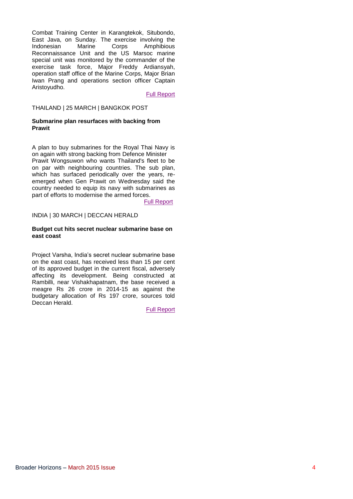Combat Training Center in Karangtekok, Situbondo, East Java, on Sunday. The exercise involving the Indonesian Marine Corps Amphibious Reconnaissance Unit and the US Marsoc marine special unit was monitored by the commander of the exercise task force, Major Freddy Ardiansyah, operation staff office of the Marine Corps, Major Brian Iwan Prang and operations section officer Captain Aristoyudho.

[Full Report](http://www.antaranews.com/en/news/98223/indonesian-us-marines-conduct-shooting-exercise)

#### THAILAND | 25 MARCH | BANGKOK POST

#### <span id="page-6-0"></span>**Submarine plan resurfaces with backing from Prawit**

A plan to buy submarines for the Royal Thai Navy is on again with strong backing from Defence Minister Prawit Wongsuwon who wants Thailand's fleet to be on par with neighbouring countries. The sub plan, which has surfaced periodically over the years, reemerged when Gen Prawit on Wednesday said the country needed to equip its navy with submarines as part of efforts to modernise the armed forces.

[Full Report](http://www.bangkokpost.com/news/security/508086/submarine-plan-resurfaces-with-backing-from-prawit)

#### INDIA | 30 MARCH | DECCAN HERALD

#### <span id="page-6-1"></span>**Budget cut hits secret nuclear submarine base on east coast**

Project Varsha, India's secret nuclear submarine base on the east coast, has received less than 15 per cent of its approved budget in the current fiscal, adversely affecting its development. Being constructed at Rambilli, near Vishakhapatnam, the base received a meagre Rs 26 crore in 2014-15 as against the budgetary allocation of Rs 197 crore, sources told Deccan Herald.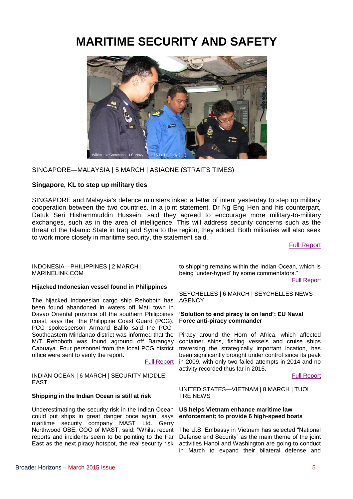## <span id="page-7-0"></span>**MARITIME SECURITY AND SAFETY**



SINGAPORE—MALAYSIA | 5 MARCH | ASIAONE (STRAITS TIMES)

#### <span id="page-7-1"></span>**Singapore, KL to step up military ties**

SINGAPORE and Malaysia's defence ministers inked a letter of intent yesterday to step up military cooperation between the two countries. In a joint statement, Dr Ng Eng Hen and his counterpart, Datuk Seri Hishammuddin Hussein, said they agreed to encourage more military-to-military exchanges, such as in the area of intelligence. This will address security concerns such as the threat of the Islamic State in Iraq and Syria to the region, they added. Both militaries will also seek to work more closely in maritime security, the statement said.

[Full Report](http://news.asiaone.com/news/asia/singapore-kl-step-military-ties)

INDONESIA—PHILIPPINES | 2 MARCH | MARINELINK.COM

#### <span id="page-7-2"></span>**Hijacked Indonesian vessel found in Philippines**

The hijacked Indonesian cargo ship Rehoboth has been found abandoned in waters off Mati town in Davao Oriental province off the southern Philippines coast, says the the Philippine Coast Guard (PCG). PCG spokesperson Armand Balilo said the PCG-Southeastern Mindanao district was informed that the M/T Rehoboth was found aground off Barangay Cabuaya. Four personnel from the local PCG district traversing the strategically important location, has office were sent to verify the report.

#### [Full Report](http://www.marinelink.com/news/philippines-indonesian386797.aspx)

INDIAN OCEAN | 6 MARCH | SECURITY MIDDLE EAST

#### <span id="page-7-3"></span>**Shipping in the Indian Ocean is still at risk**

Underestimating the security risk in the Indian Ocean could put ships in great danger once again, says maritime security company MAST Ltd. Gerry Northwood OBE, COO of MAST, said: "Whilst recent reports and incidents seem to be pointing to the Far East as the next piracy hotspot, the real security risk

to shipping remains within the Indian Ocean, which is being 'under-hyped' by some commentators."

[Full Report](http://securitymiddleeast.com/2015/03/06/shipping-in-the-indian-ocean-is-still-at-risk/)

SEYCHELLES | 6 MARCH | SEYCHELLES NEWS **AGENCY** 

#### <span id="page-7-4"></span>**'Solution to end piracy is on land': EU Naval Force anti-piracy commander**

Piracy around the Horn of Africa, which affected container ships, fishing vessels and cruise ships been significantly brought under control since its peak in 2009, with only two failed attempts in 2014 and no activity recorded thus far in 2015.

[Full Report](http://www.seychellesnewsagency.com/articles/2507/Solution+to+end+piracy+is+on+land,+EU+Naval+Force+anti-piracy+commander+tells+Seychelles)

UNITED STATES—VIETNAM | 8 MARCH | TUOI TRE NEWS

#### <span id="page-7-5"></span>**US helps Vietnam enhance maritime law enforcement; to provide 6 high-speed boats**

The U.S. Embassy in Vietnam has selected "National Defense and Security" as the main theme of the joint activities Hanoi and Washington are going to conduct in March to expand their bilateral defense and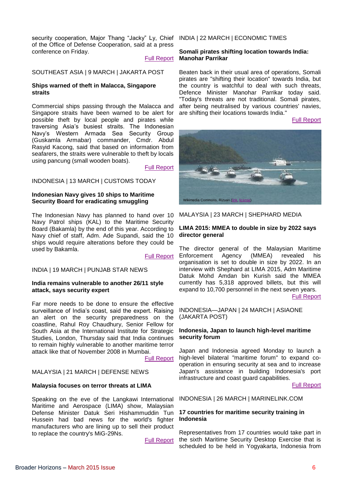security cooperation, Major Thang "Jacky" Ly, Chief INDIA | 22 MARCH | ECONOMIC TIMES of the Office of Defense Cooperation, said at a press conference on Friday.

#### [Full Report](http://tuoitrenews.vn/politics/26561/us-helps-vietnam-enhance-maritime-law-enforcement-to-provide-six-highspeed-boats)

#### SOUTHEAST ASIA | 9 MARCH | JAKARTA POST

#### <span id="page-8-0"></span>**Ships warned of theft in Malacca, Singapore straits**

Commercial ships passing through the Malacca and Singapore straits have been warned to be alert for possible theft by local people and pirates while traversing Asia's busiest straits. The Indonesian Navy's Western Armada Sea Security Group (Guskamla Armabar) commander, Cmdr. Abdul Rasyid Kacong, said that based on information from seafarers, the straits were vulnerable to theft by locals using pancung (small wooden boats).

[Full Report](http://www.thejakartapost.com/news/2015/03/09/ships-warned-theft-malacca-singapore-straits.html)

#### INDONESIA | 13 MARCH | CUSTOMS TODAY

#### <span id="page-8-1"></span>**Indonesian Navy gives 10 ships to Maritime Security Board for eradicating smuggling**

The Indonesian Navy has planned to hand over 10 Navy Patrol ships (KAL) to the Maritime Security Board (Bakamla) by the end of this year. According to Navy chief of staff, Adm. Ade Supandi, said the 10 ships would require alterations before they could be used by Bakamla.

#### [Full Report](http://customstoday.com.pk/indonesian-navy-gives-10-ships-to-maritime-security-board-for-eradicate-smuggling-2/)

#### INDIA | 19 MARCH | PUNJAB STAR NEWS

#### <span id="page-8-2"></span>**India remains vulnerable to another 26/11 style attack, says security expert**

Far more needs to be done to ensure the effective surveillance of India's coast, said the expert. Raising an alert on the security preparedness on the coastline, Rahul Roy Chaudhury, Senior Fellow for South Asia at the International Institute for Strategic Studies, London, Thursday said that India continues to remain highly vulnerable to another maritime terror attack like that of November 2008 in Mumbai.

[Full Report](http://punjabstarnews.com/india-remains-vulnerable-to-another-2611-style-attack-says-security-expert/.html)

#### MALAYSIA | 21 MARCH | DEFENSE NEWS

#### <span id="page-8-3"></span>**Malaysia focuses on terror threats at LIMA**

Speaking on the eve of the Langkawi International Maritime and Aerospace (LIMA) show, Malaysian Defense Minister Datuk Seri Hishammuddin Tun Hussein had bad news for the world's fighter manufacturers who are lining up to sell their product to replace the country's MiG-29Ns.

[Full Report](http://www.defensenews.com/story/defense/policy-budget/warfare/2015/03/21/lima-malaysia-air-force-show-/25010493/)

#### <span id="page-8-4"></span>**Somali pirates shifting location towards India: Manohar Parrikar**

Beaten back in their usual area of operations, Somali pirates are "shifting their location" towards India, but the country is watchful to deal with such threats, Defence Minister Manohar Parrikar today said. "Today's threats are not traditional. Somali pirates, after being neutralised by various countries' navies, are shifting their locations towards India."

[Full Report](http://articles.economictimes.indiatimes.com/2015-03-22/news/60369467_1_somali-pirates-indian-ocean-rim-defence-minister-manohar-parrikar)



#### MALAYSIA | 23 MARCH | SHEPHARD MEDIA

#### <span id="page-8-5"></span>**LIMA 2015: MMEA to double in size by 2022 says director general**

The director general of the Malaysian Maritime Enforcement Agency (MMEA) revealed his organisation is set to double in size by 2022. In an interview with Shephard at LIMA 2015, Adm Maritime Datuk Mohd Amdan bin Kurish said the MMEA currently has 5,318 approved billets, but this will expand to 10,700 personnel in the next seven years. [Full Report](http://www.shephardmedia.com/news/imps-news/mmea-double-size-2022-says-director-general/)

INDONESIA—JAPAN | 24 MARCH | ASIAONE (JAKARTA POST)

#### <span id="page-8-6"></span>**Indonesia, Japan to launch high-level maritime security forum**

Japan and Indonesia agreed Monday to launch a high-level bilateral "maritime forum" to expand cooperation in ensuring security at sea and to increase Japan's assistance in building Indonesia's port infrastructure and coast guard capabilities.

[Full Report](http://news.asiaone.com/news/asia/indonesia-japan-launch-high-level-maritime-security-forum)

#### INDONESIA | 26 MARCH | MARINELINK.COM

#### <span id="page-8-7"></span>**17 countries for maritime security training in Indonesia**

Representatives from 17 countries would take part in the sixth Maritime Security Desktop Exercise that is scheduled to be held in Yogyakarta, Indonesia from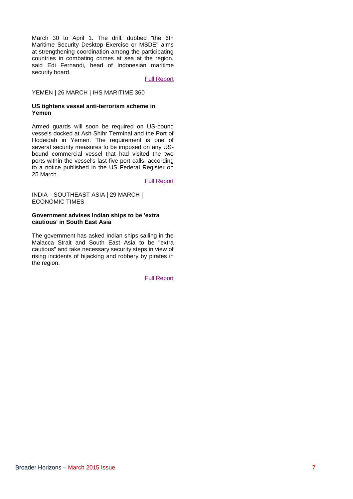March 30 to April 1. The drill, dubbed "the 6th Maritime Security Desktop Exercise or MSDE" aims at strengthening coordination among the participating countries in combating crimes at sea at the region, said Edi Fernandi, head of Indonesian maritime security board.

#### [Full Report](http://www.marinelink.com/news/countries-maritime388294.aspx)

#### YEMEN | 26 MARCH | IHS MARITIME 360

#### <span id="page-9-0"></span>**US tightens vessel anti-terrorism scheme in Yemen**

Armed guards will soon be required on US-bound vessels docked at Ash Shihr Terminal and the Port of Hodeidah in Yemen. The requirement is one of several security measures to be imposed on any USbound commercial vessel that had visited the two ports within the vessel's last five port calls, according to a notice published in the US Federal Register on 25 March.

[Full Report](http://www.ihsmaritime360.com/article/17238/us-tightens-vessel-anti-terrorism-scheme-in-yemen)

INDIA—SOUTHEAST ASIA | 29 MARCH | ECONOMIC TIMES

#### <span id="page-9-1"></span>**Government advises Indian ships to be 'extra cautious' in South East Asia**

The government has asked Indian ships sailing in the Malacca Strait and South East Asia to be "extra cautious" and take necessary security steps in view of rising incidents of hijacking and robbery by pirates in the region.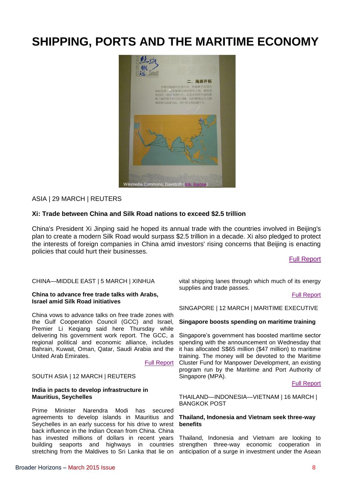## <span id="page-10-0"></span>**SHIPPING, PORTS AND THE MARITIME ECONOMY**



#### ASIA | 29 MARCH | REUTERS

#### <span id="page-10-1"></span>**Xi: Trade between China and Silk Road nations to exceed \$2.5 trillion**

China's President Xi Jinping said he hoped its annual trade with the countries involved in Beijing's plan to create a modern Silk Road would surpass \$2.5 trillion in a decade. Xi also pledged to protect the interests of foreign companies in China amid investors' rising concerns that Beijing is enacting policies that could hurt their businesses.

[Full Report](http://www.reuters.com/article/2015/03/29/us-china-economy-oneroad-idUSKBN0MP0J320150329)

#### CHINA—MIDDLE EAST | 5 MARCH | XINHUA

#### <span id="page-10-2"></span>**China to advance free trade talks with Arabs, Israel amid Silk Road initiatives**

China vows to advance talks on free trade zones with the Gulf Cooperation Council (GCC) and Israel, Premier Li Keqiang said here Thursday while delivering his government work report. The GCC, a regional political and economic alliance, includes Bahrain, Kuwait, Oman, Qatar, Saudi Arabia and the United Arab Emirates.

[Full Report](http://news.xinhuanet.com/english/2015-03/05/c_134040532.htm)

#### SOUTH ASIA | 12 MARCH | REUTERS

#### <span id="page-10-3"></span>**India in pacts to develop infrastructure in Mauritius, Seychelles**

Prime Minister Narendra Modi has secured agreements to develop islands in Mauritius and Seychelles in an early success for his drive to wrest back influence in the Indian Ocean from China. China has invested millions of dollars in recent years building seaports and highways in countries stretching from the Maldives to Sri Lanka that lie on anticipation of a surge in investment under the Asean

vital shipping lanes through which much of its energy supplies and trade passes.

[Full Report](http://in.reuters.com/article/2015/03/12/india-islands-modi-idINKBN0M81A320150312)

SINGAPORE | 12 MARCH | MARITIME EXECUTIVE

#### <span id="page-10-4"></span>**Singapore boosts spending on maritime training**

Singapore's government has boosted maritime sector spending with the announcement on Wednesday that it has allocated S\$65 million (\$47 million) to maritime training. The money will be devoted to the Maritime Cluster Fund for Manpower Development, an existing program run by the Maritime and Port Authority of Singapore (MPA).

#### [Full Report](http://www.maritime-executive.com/article/singapore-boosts-spending-on-maritime-training)

THAILAND—INDONESIA—VIETNAM | 16 MARCH | BANGKOK POST

#### <span id="page-10-5"></span>**Thailand, Indonesia and Vietnam seek three-way benefits**

Thailand, Indonesia and Vietnam are looking to strengthen three-way economic cooperation in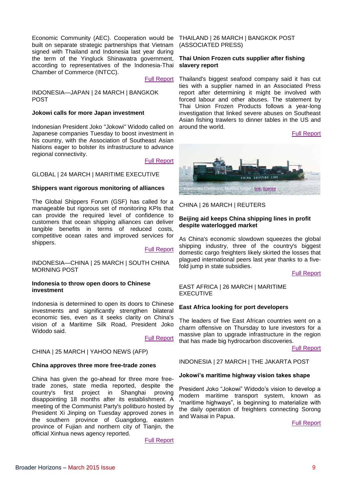Economic Community (AEC). Cooperation would be THAILAND | 26 MARCH | BANGKOK POST built on separate strategic partnerships that Vietnam signed with Thailand and Indonesia last year during the term of the Yingluck Shinawatra government, according to representatives of the Indonesia-Thai Chamber of Commerce (INTCC).

#### [Full Report](http://www.bangkokpost.com/news/asean/497928/thailand-indonesia-and-vietnam-seek-three-way-benefits)

INDONESIA—JAPAN | 24 MARCH | BANGKOK POST

#### <span id="page-11-0"></span>**Jokowi calls for more Japan investment**

Indonesian President Joko "Jokowi" Widodo called on Japanese companies Tuesday to boost investment in his country, with the Association of Southeast Asian Nations eager to bolster its infrastructure to advance regional connectivity.

#### [Full Report](http://www.bangkokpost.com/news/asia/506941/jokowi-calls-for-more-japan-investment)

#### GLOBAL | 24 MARCH | MARITIME EXECUTIVE

#### <span id="page-11-1"></span>**Shippers want rigorous monitoring of alliances**

The Global Shippers Forum (GSF) has called for a manageable but rigorous set of monitoring KPIs that can provide the required level of confidence to customers that ocean shipping alliances can deliver tangible benefits in terms of reduced costs, competitive ocean rates and improved services for shippers.

[Full Report](http://www.maritime-executive.com/article/shippers-want-rigorous-monitoring-of-alliances)

INDONESIA—CHINA | 25 MARCH | SOUTH CHINA MORNING POST

#### <span id="page-11-2"></span>**Indonesia to throw open doors to Chinese investment**

Indonesia is determined to open its doors to Chinese investments and significantly strengthen bilateral economic ties, even as it seeks clarity on China's vision of a Maritime Silk Road, President Joko Widodo said.

[Full Report](http://www.scmp.com/news/asia/article/1746628/widodo-aims-use-china-visit-boost-ties-and-seek-details-maritime-silk-road)

#### CHINA | 25 MARCH | YAHOO NEWS (AFP)

#### <span id="page-11-3"></span>**China approves three more free-trade zones**

China has given the go-ahead for three more freetrade zones, state media reported, despite the country's first project in Shanghai proving disappointing 18 months after its establishment. A meeting of the Communist Party's politburo hosted by President Xi Jinping on Tuesday approved zones in the southern province of Guangdong, eastern province of Fujian and northern city of Tianjin, the official Xinhua news agency reported.

[Full Report](http://news.yahoo.com/china-approves-three-more-free-trade-zones-054509381--finance.html)

(ASSOCIATED PRESS)

#### <span id="page-11-4"></span>**Thai Union Frozen cuts supplier after fishing slavery report**

Thailand's biggest seafood company said it has cut ties with a supplier named in an Associated Press report after determining it might be involved with forced labour and other abuses. The statement by Thai Union Frozen Products follows a year-long investigation that linked severe abuses on Southeast Asian fishing trawlers to dinner tables in the US and around the world.

[Full Report](http://www.bangkokpost.com/business/news/509269/thai-union-frozen-cuts-supplier-after-fishing-slavery-report)



#### CHINA | 26 MARCH | REUTERS

#### <span id="page-11-5"></span>**Beijing aid keeps China shipping lines in profit despite waterlogged market**

As China's economic slowdown squeezes the global shipping industry, three of the country's biggest domestic cargo freighters likely skirted the losses that plagued international peers last year thanks to a fivefold jump in state subsidies.

[Full Report](http://in.reuters.com/article/2015/03/25/china-shipping-results-idINL6N0WL1YS20150325)

#### EAST AFRICA | 26 MARCH | MARITIME EXECUTIVE

#### <span id="page-11-6"></span>**East Africa looking for port developers**

The leaders of five East African countries went on a charm offensive on Thursday to lure investors for a massive plan to upgrade infrastructure in the region that has made big hydrocarbon discoveries.

[Full Report](http://www.maritime-executive.com/article/east-africa-looking-for-port-developers)

INDONESIA | 27 MARCH | THE JAKARTA POST

#### <span id="page-11-7"></span>**Jokowi's maritime highway vision takes shape**

President Joko "Jokowi" Widodo's vision to develop a modern maritime transport system, known as "maritime highways", is beginning to materialize with the daily operation of freighters connecting Sorong and Waisai in Papua.